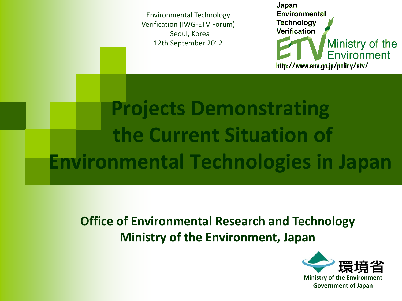Environmental Technology Verification (IWG-ETV Forum) Seoul, Korea 12th September 2012

Japan **Environmental Technology Verification** Ministry of the<br>Environment http://www.env.go.jp/policy/etv/

# **Projects Demonstrating the Current Situation of Environmental Technologies in Japan**

**Office of Environmental Research and Technology Ministry of the Environment, Japan** 

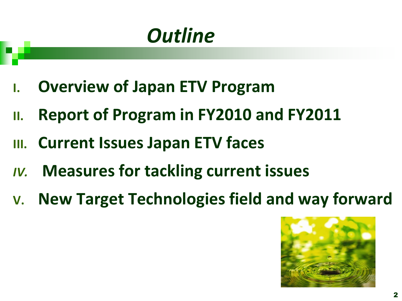# *Outline*

- **I. Overview of Japan ETV Program**
- **II. Report of Program in FY2010 and FY2011**
- **III. Current Issues Japan ETV faces**
- *IV.* **Measures for tackling current issues**
- **V. New Target Technologies field and way forward**

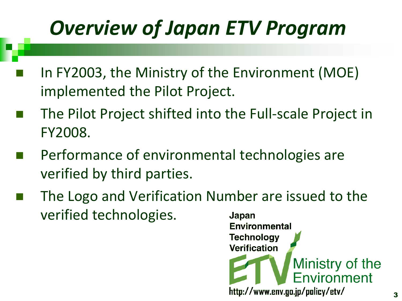# *Overview of Japan ETV Program*

- In FY2003, the Ministry of the Environment (MOE) implemented the Pilot Project.
- The Pilot Project shifted into the Full-scale Project in FY2008.
- Performance of environmental technologies are verified by third parties.
- The Logo and Verification Number are issued to the verified technologies. Japan

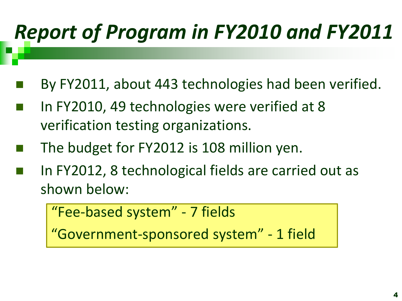# *Report of Program in FY2010 and FY2011*

- By FY2011, about 443 technologies had been verified.
- In FY2010, 49 technologies were verified at 8 verification testing organizations.
- The budget for FY2012 is 108 million yen.
- In FY2012, 8 technological fields are carried out as shown below:

```
 "Fee-based system" - 7 fields
```
"Government-sponsored system" - 1 field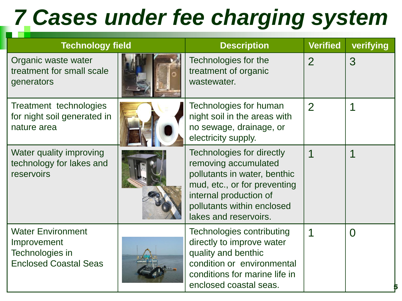# *7 Cases under fee charging system*

| <b>Technology field</b>                                                                    |  | <b>Description</b>                                                                                                                                                                                 | <b>Verified</b> | verifying |
|--------------------------------------------------------------------------------------------|--|----------------------------------------------------------------------------------------------------------------------------------------------------------------------------------------------------|-----------------|-----------|
| Organic waste water<br>treatment for small scale<br>generators                             |  | Technologies for the<br>treatment of organic<br>wastewater.                                                                                                                                        | $\overline{2}$  | 3         |
| Treatment technologies<br>for night soil generated in<br>nature area                       |  | Technologies for human<br>night soil in the areas with<br>no sewage, drainage, or<br>electricity supply.                                                                                           | $\overline{2}$  |           |
| Water quality improving<br>technology for lakes and<br>reservoirs                          |  | Technologies for directly<br>removing accumulated<br>pollutants in water, benthic<br>mud, etc., or for preventing<br>internal production of<br>pollutants within enclosed<br>lakes and reservoirs. |                 | 1         |
| <b>Water Environment</b><br>Improvement<br>Technologies in<br><b>Enclosed Coastal Seas</b> |  | Technologies contributing<br>directly to improve water<br>quality and benthic<br>condition or environmental<br>conditions for marine life in<br>enclosed coastal seas.                             |                 | $\Omega$  |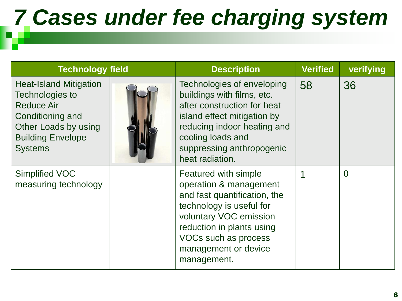# *7 Cases under fee charging system*

| <b>Technology field</b>                                                                                                                                         |  | <b>Description</b>                                                                                                                                                                                                               | <b>Verified</b> | verifying |
|-----------------------------------------------------------------------------------------------------------------------------------------------------------------|--|----------------------------------------------------------------------------------------------------------------------------------------------------------------------------------------------------------------------------------|-----------------|-----------|
| <b>Heat-Island Mitigation</b><br>Technologies to<br><b>Reduce Air</b><br>Conditioning and<br>Other Loads by using<br><b>Building Envelope</b><br><b>Systems</b> |  | Technologies of enveloping<br>buildings with films, etc.<br>after construction for heat<br>island effect mitigation by<br>reducing indoor heating and<br>cooling loads and<br>suppressing anthropogenic<br>heat radiation.       | 58              | 36        |
| <b>Simplified VOC</b><br>measuring technology                                                                                                                   |  | Featured with simple<br>operation & management<br>and fast quantification, the<br>technology is useful for<br>voluntary VOC emission<br>reduction in plants using<br>VOCs such as process<br>management or device<br>management. |                 | $\Omega$  |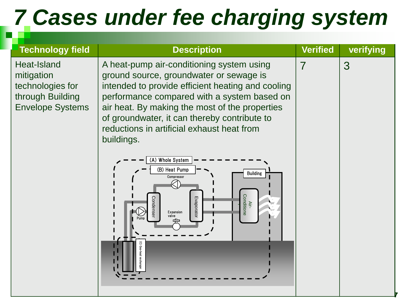# *7 Cases under fee charging system*

| <b>Technology field</b>                                                                                    | <b>Description</b>                                                                                                                                                                                                                                                                                                                                                                                                                                                                         | <b>Verified</b> | verifying |
|------------------------------------------------------------------------------------------------------------|--------------------------------------------------------------------------------------------------------------------------------------------------------------------------------------------------------------------------------------------------------------------------------------------------------------------------------------------------------------------------------------------------------------------------------------------------------------------------------------------|-----------------|-----------|
| Heat-Island<br>mitigation<br>technologies for<br>through Building<br><b>Envelope Systems</b><br>buildings. | A heat-pump air-conditioning system using<br>ground source, groundwater or sewage is<br>intended to provide efficient heating and cooling<br>performance compared with a system based on<br>air heat. By making the most of the properties<br>of groundwater, it can thereby contribute to<br>reductions in artificial exhaust heat from<br>$\overline{(A)}$ Whole System<br>(B) Heat Pump<br><b>Building</b><br>Compressor<br>KI.<br>Air-<br>Conditione<br>Evaporato<br>Expansion<br>alve | 7               | 3         |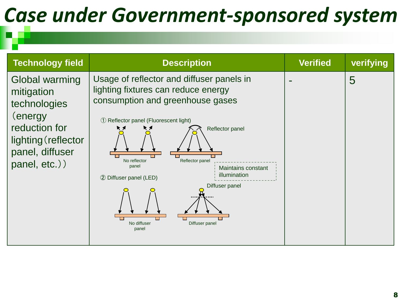# *Case under Government-sponsored system*

| <b>Technology field</b>                                                                                                              | <b>Description</b>                                                                                                                                                                                                                                                                                                                                       | <b>Verified</b> | verifying |
|--------------------------------------------------------------------------------------------------------------------------------------|----------------------------------------------------------------------------------------------------------------------------------------------------------------------------------------------------------------------------------------------------------------------------------------------------------------------------------------------------------|-----------------|-----------|
| Global warming<br>mitigation<br>technologies<br>(energy)<br>reduction for<br>lighting (reflector<br>panel, diffuser<br>panel, etc.)) | Usage of reflector and diffuser panels in<br>lighting fixtures can reduce energy<br>consumption and greenhouse gases<br>1 Reflector panel (Fluorescent light)<br>Reflector panel<br>No reflector<br>Reflector panel<br>panel<br>Maintains constant<br>illumination<br>2 Diffuser panel (LED)<br>Diffuser panel<br>No diffuser<br>Diffuser panel<br>panel |                 | 5         |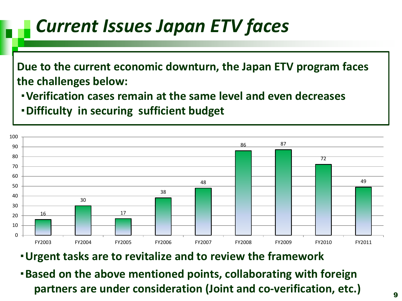## *Current Issues Japan ETV faces*

**Due to the current economic downturn, the Japan ETV program faces the challenges below:**

・**Verification cases remain at the same level and even decreases**

・**Difficulty in securing sufficient budget** 



・**Urgent tasks are to revitalize and to review the framework**

・**Based on the above mentioned points, collaborating with foreign partners are under consideration (Joint and co-verification, etc.)**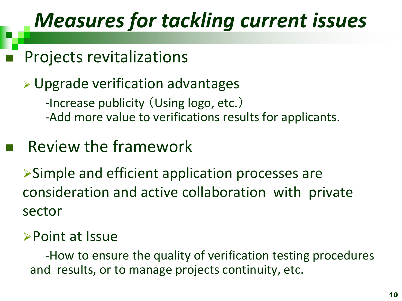## *Measures for tackling current issues*

### Projects revitalizations

### Upgrade verification advantages -Increase publicity (Using logo, etc.) -Add more value to verifications results for applicants.

## Review the framework

Simple and efficient application processes are consideration and active collaboration with private sector

### Point at Issue

 -How to ensure the quality of verification testing procedures and results, or to manage projects continuity, etc.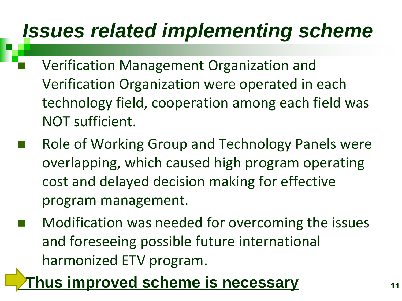# *Issues related implementing scheme*

- Verification Management Organization and Verification Organization were operated in each technology field, cooperation among each field was NOT sufficient.
- Role of Working Group and Technology Panels were overlapping, which caused high program operating cost and delayed decision making for effective program management.
- Modification was needed for overcoming the issues and foreseeing possible future international harmonized ETV program.

### **Thus improved scheme is necessary**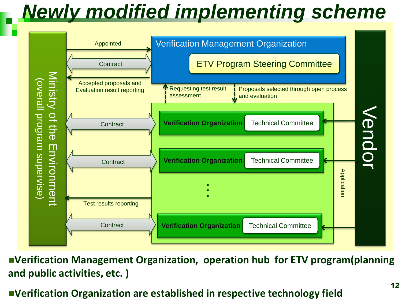## *Newly modified implementing scheme*



**Verification Management Organization, operation hub for ETV program(planning and public activities, etc. )** 

#### **Verification Organization are established in respective technology field**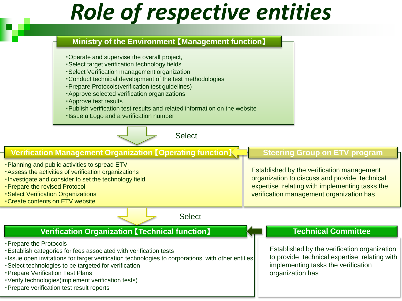# *Role of respective entities*

#### **Ministry of the Environment** 【**Management function**】

- ・Operate and supervise the overall project,
- ・Select target verification technology fields
- ・Select Verification management organization
- ・Conduct technical development of the test methodologies
- ・Prepare Protocols(verification test guidelines)
- ・Approve selected verification organizations
- ・Approve test results
- ・Publish verification test results and related information on the website
- ・Issue a Logo and a verification number



#### **Verification Management Organization** 【**Operating function**】 **Steering Group on ETV program**

- ・Planning and public activities to spread ETV
- ・Assess the activities of verification organizations
- ・Investigate and consider to set the technology field
- ・Prepare the revised Protocol
- ・Select Verification Organizations
- ・Create contents on ETV website

#### **Select**

#### **Verification Organization** 【**Technical function**】

- ・Prepare the Protocols
- ・Establish categories for fees associated with verification tests
- ・Issue open invitations for target verification technologies to corporations with other entities
- ・Select technologies to be targeted for verification
- ・Prepare Verification Test Plans
- ・Verify technologies(implement verification tests)
- ・Prepare verification test result reports

Established by the verification management organization to discuss and provide technical expertise relating with implementing tasks the verification management organization has

#### **Technical Committee**

Established by the verification organization to provide technical expertise relating with implementing tasks the verification organization has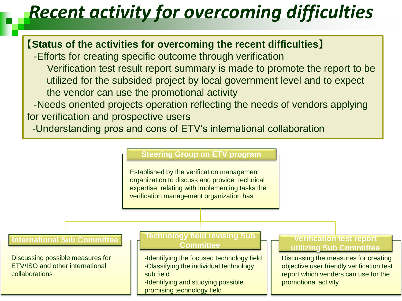## *Recent activity for overcoming difficulties*

#### 【**Status of the activities for overcoming the recent difficulties**】

-Efforts for creating specific outcome through verification Verification test result report summary is made to promote the report to be utilized for the subsided project by local government level and to expect the vendor can use the promotional activity

-Needs oriented projects operation reflecting the needs of vendors applying for verification and prospective users

-Understanding pros and cons of ETV's international collaboration

#### **Steering Group on ETV program**

Established by the verification management organization to discuss and provide technical expertise relating with implementing tasks the verification management organization has

#### **International Sub Committee**

Discussing possible measures for ETV/ISO and other international collaborations

#### **Technology field revising Sub Committee**

- -Identifying the focused technology field -Classifying the individual technology sub field
- -Identifying and studying possible promising technology field

#### **Verification test report utilizing Sub Committee**

Discussing the measures for creating objective user friendly verification test report which venders can use for the promotional activity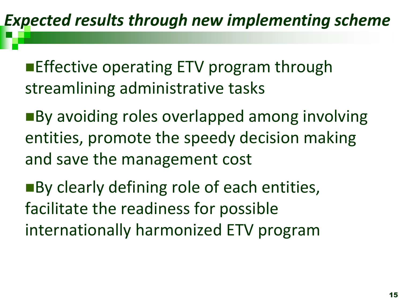**Effective operating ETV program through** streamlining administrative tasks

■By avoiding roles overlapped among involving entities, promote the speedy decision making and save the management cost

■By clearly defining role of each entities, facilitate the readiness for possible internationally harmonized ETV program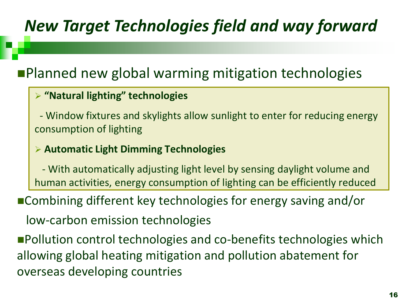## *New Target Technologies field and way forward*

### **Planned new global warming mitigation technologies**

#### **"Natural lighting" technologies**

 - Window fixtures and skylights allow sunlight to enter for reducing energy consumption of lighting

#### **Automatic Light Dimming Technologies**

 - With automatically adjusting light level by sensing daylight volume and human activities, energy consumption of lighting can be efficiently reduced

■Combining different key technologies for energy saving and/or

low-carbon emission technologies

**Pollution control technologies and co-benefits technologies which** allowing global heating mitigation and pollution abatement for overseas developing countries